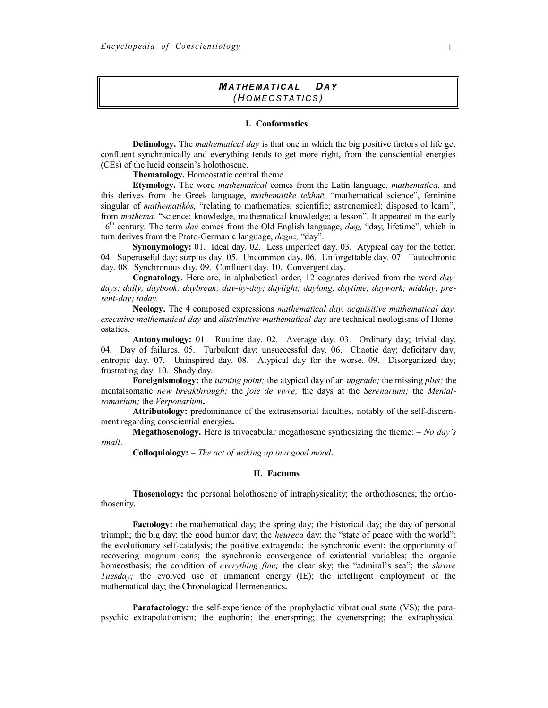# *M A T H E M A T I C A L DA Y (HO M E O S T A T I C S )*

## **I. Conformatics**

**Definology.** The *mathematical day* is that one in which the big positive factors of life get confluent synchronically and everything tends to get more right, from the consciential energies (CEs) of the lucid conscin's holothosene.

**Thematology.** Homeostatic central theme.

**Etymology.** The word *mathematical* comes from the Latin language, *mathematica*, and this derives from the Greek language, *mathematike tekhnē,* "mathematical science", feminine singular of *mathematikós*, "relating to mathematics; scientific; astronomical; disposed to learn", from *mathema,* "science; knowledge, mathematical knowledge; a lesson". It appeared in the early 16<sup>th</sup> century. The term *day* comes from the Old English language, *dæg*, "day; lifetime", which in turn derives from the Proto-Germanic language, *dagaz,* "day".

**Synonymology:** 01. Ideal day. 02. Less imperfect day. 03. Atypical day for the better. 04. Superuseful day; surplus day. 05. Uncommon day. 06. Unforgettable day. 07. Tautochronic day. 08. Synchronous day. 09. Confluent day. 10. Convergent day.

**Cognatology.** Here are, in alphabetical order, 12 cognates derived from the word *day: days; daily; daybook; daybreak; day-by-day; daylight; daylong; daytime; daywork; midday; present-day; today.*

**Neology.** The 4 composed expressions *mathematical day, acquisitive mathematical day, executive mathematical day* and *distributive mathematical day* are technical neologisms of Homeostatics.

**Antonymology:** 01. Routine day. 02. Average day. 03. Ordinary day; trivial day. 04. Day of failures. 05. Turbulent day; unsuccessful day. 06. Chaotic day; deficitary day; entropic day. 07. Uninspired day. 08. Atypical day for the worse. 09. Disorganized day; frustrating day. 10. Shady day.

**Foreignismology:** the *turning point;* the atypical day of an *upgrade;* the missing *plus;* the mentalsomatic *new breakthrough;* the *joie de vivre;* the days at the *Serenarium;* the *Mentalsomarium;* the *Verponarium***.**

**Attributology:** predominance of the extrasensorial faculties, notably of the self-discernment regarding consciential energies**.**

**Megathosenology.** Here is trivocabular megathosene synthesizing the theme: – *No day's small*.

**Colloquiology:** – *The act of waking up in a good mood***.**

## **II. Factums**

**Thosenology:** the personal holothosene of intraphysicality; the orthothosenes; the orthothosenity**.**

**Factology:** the mathematical day; the spring day; the historical day; the day of personal triumph; the big day; the good humor day; the *heureca* day; the "state of peace with the world"; the evolutionary self-catalysis; the positive extragenda; the synchronic event; the opportunity of recovering magnum cons; the synchronic convergence of existential variables; the organic homeosthasis; the condition of *everything fine;* the clear sky; the "admiral's sea"; the *shrove Tuesday;* the evolved use of immanent energy (IE); the intelligent employment of the mathematical day; the Chronological Hermeneutics**.**

**Parafactology:** the self-experience of the prophylactic vibrational state (VS); the parapsychic extrapolationism; the euphorin; the enerspring; the cyenerspring; the extraphysical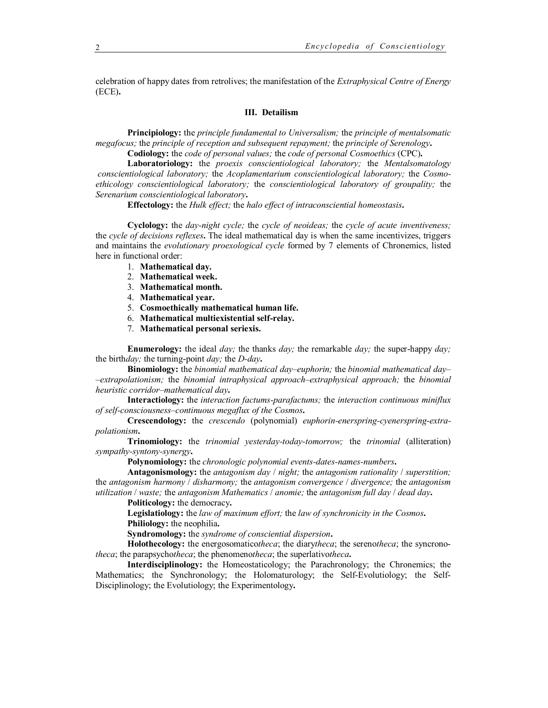celebration of happy dates from retrolives; the manifestation of the *Extraphysical Centre of Energy*  (ECE)**.**

# **III. Detailism**

**Principiology:** the *principle fundamental to Universalism;* the *principle of mentalsomatic megafocus;* the *principle of reception and subsequent repayment;* the *principle of Serenology***.**

**Codiology:** the *code of personal values;* the *code of personal Cosmoethics* (CPC)**.**

**Laboratoriology:** the *proexis conscientiological laboratory;* the *Mentalsomatology conscientiological laboratory;* the *Acoplamentarium conscientiological laboratory;* the *Cosmoethicology conscientiological laboratory;* the *conscientiological laboratory of groupality;* the *Serenarium conscientiological laboratory***.**

**Effectology:** the *Hulk effect;* the *halo effect of intraconsciential homeostasis***.**

**Cyclology:** the *day-night cycle;* the *cycle of neoideas;* the *cycle of acute inventiveness;*  the *cycle of decisions reflexes***.** The ideal mathematical day is when the same incentivizes, triggers and maintains the *evolutionary proexological cycle* formed by 7 elements of Chronemics, listed here in functional order:

- 1. **Mathematical day.**
- 2. **Mathematical week.**
- 3. **Mathematical month.**
- 4. **Mathematical year.**
- 5. **Cosmoethically mathematical human life.**
- 6. **Mathematical multiexistential self-relay.**
- 7. **Mathematical personal seriexis.**

**Enumerology:** the ideal *day;* the thanks *day;* the remarkable *day;* the super-happy *day;* the birth*day;* the turning-point *day;* the *D-day***.**

**Binomiology:** the *binomial mathematical day*–*euphorin;* the *binomial mathematical day*– –*extrapolationism;* the *binomial intraphysical approach*–*extraphysical approach;* the *binomial heuristic corridor*–*mathematical day***.**

**Interactiology:** the *interaction factums-parafactums;* the *interaction continuous miniflux of self-consciousness–continuous megaflux of the Cosmos***.**

**Crescendology:** the *crescendo* (polynomial) *euphorin-enerspring-cyenerspring-extrapolationism***.**

**Trinomiology:** the *trinomial yesterday-today-tomorrow;* the *trinomial* (alliteration) *sympathy-syntony-synergy***.** 

**Polynomiology:** the *chronologic polynomial events-dates-names-numbers***.**

**Antagonismology:** the *antagonism day* / *night;* the *antagonism rationality* / *superstition;* the *antagonism harmony* / *disharmony;* the *antagonism convergence* / *divergence;* the *antagonism utilization* / *waste;* the *antagonism Mathematics* / *anomie;* the *antagonism full day* / *dead day***.**

**Politicology:** the democracy**.**

**Legislatiology:** the *law of maximum effort;* the *law of synchronicity in the Cosmos***. Philiology:** the neophilia**.**

**Syndromology:** the *syndrome of consciential dispersion***.**

**Holothecology:** the energosomatico*theca*; the diary*theca*; the sereno*theca*; the syncrono*theca*; the parapsycho*theca*; the phenomeno*theca*; the superlativo*theca***.**

**Interdisciplinology:** the Homeostaticology; the Parachronology; the Chronemics; the Mathematics; the Synchronology; the Holomaturology; the Self-Evolutiology; the Self-Disciplinology; the Evolutiology; the Experimentology**.**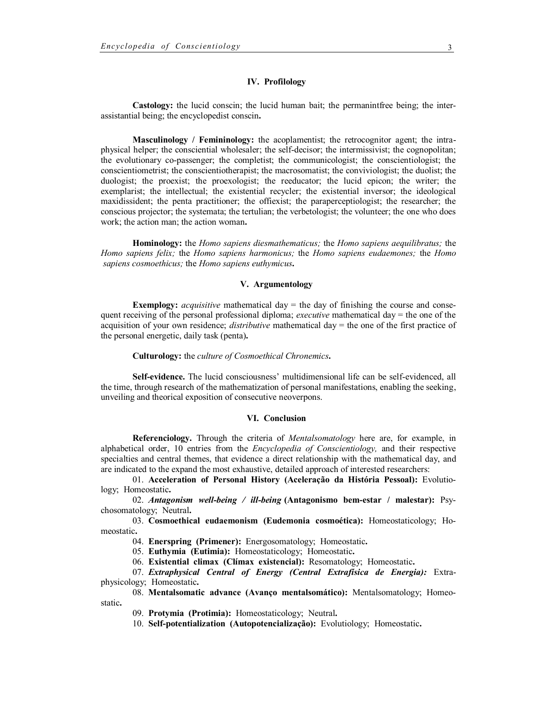## **IV. Profilology**

**Castology:** the lucid conscin; the lucid human bait; the permanintfree being; the interassistantial being; the encyclopedist conscin**.**

**Masculinology / Femininology:** the acoplamentist; the retrocognitor agent; the intraphysical helper; the consciential wholesaler; the self-decisor; the intermissivist; the cognopolitan; the evolutionary co-passenger; the completist; the communicologist; the conscientiologist; the conscientiometrist; the conscientiotherapist; the macrosomatist; the conviviologist; the duolist; the duologist; the proexist; the proexologist; the reeducator; the lucid epicon; the writer; the exemplarist; the intellectual; the existential recycler; the existential inversor; the ideological maxidissident; the penta practitioner; the offiexist; the paraperceptiologist; the researcher; the conscious projector; the systemata; the tertulian; the verbetologist; the volunteer; the one who does work; the action man; the action woman**.**

**Hominology:** the *Homo sapiens diesmathematicus;* the *Homo sapiens aequilibratus;* the *Homo sapiens felix;* the *Homo sapiens harmonicus;* the *Homo sapiens eudaemones;* the *Homo sapiens cosmoethicus;* the *Homo sapiens euthymicus***.** 

# **V. Argumentology**

**Exemplogy:** *acquisitive* mathematical day  $=$  the day of finishing the course and consequent receiving of the personal professional diploma; *executive* mathematical day = the one of the acquisition of your own residence; *distributive* mathematical day = the one of the first practice of the personal energetic, daily task (penta)**.**

#### **Culturology:** the *culture of Cosmoethical Chronemics***.**

**Self-evidence.** The lucid consciousness' multidimensional life can be self-evidenced, all the time, through research of the mathematization of personal manifestations, enabling the seeking, unveiling and theorical exposition of consecutive neoverpons.

## **VI. Conclusion**

**Referenciology.** Through the criteria of *Mentalsomatology* here are, for example, in alphabetical order, 10 entries from the *Encyclopedia of Conscientiology,* and their respective specialties and central themes, that evidence a direct relationship with the mathematical day, and are indicated to the expand the most exhaustive, detailed approach of interested researchers:

01. **Acceleration of Personal History (Aceleração da História Pessoal):** Evolutiology; Homeostatic**.**

02. *Antagonism well-being / ill-being* **(Antagonismo bem-estar / malestar):** Psychosomatology; Neutral**.**

03. **Cosmoethical eudaemonism (Eudemonia cosmoética):** Homeostaticology; Homeostatic**.**

04. **Enerspring (Primener):** Energosomatology; Homeostatic**.**

05. **Euthymia (Eutimia):** Homeostaticology; Homeostatic**.**

06. **Existential climax (Clímax existencial):** Resomatology; Homeostatic**.**

07. *Extraphysical Central of Energy (Central Extrafísica de Energia):* Extraphysicology; Homeostatic**.**

08. **Mentalsomatic advance (Avanço mentalsomático):** Mentalsomatology; Homeostatic**.**

09. **Protymia (Protimia):** Homeostaticology; Neutral**.**

10. **Self-potentialization (Autopotencialização):** Evolutiology; Homeostatic**.**